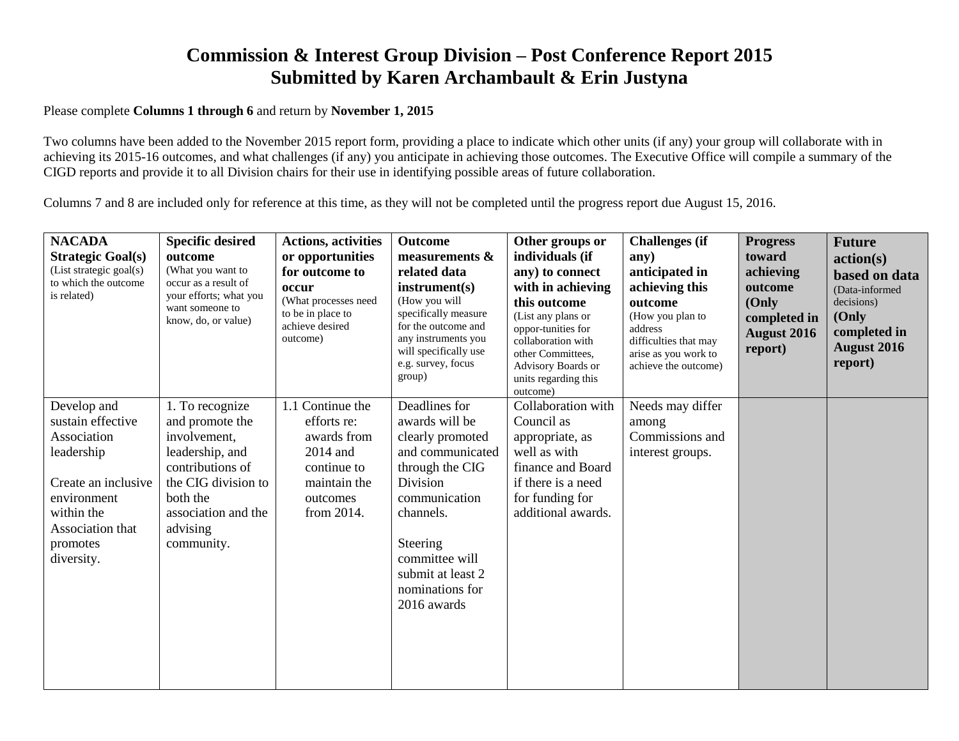## **Commission & Interest Group Division – Post Conference Report 2015 Submitted by Karen Archambault & Erin Justyna**

## Please complete **Columns 1 through 6** and return by **November 1, 2015**

Two columns have been added to the November 2015 report form, providing a place to indicate which other units (if any) your group will collaborate with in achieving its 2015-16 outcomes, and what challenges (if any) you anticipate in achieving those outcomes. The Executive Office will compile a summary of the CIGD reports and provide it to all Division chairs for their use in identifying possible areas of future collaboration.

Columns 7 and 8 are included only for reference at this time, as they will not be completed until the progress report due August 15, 2016.

| <b>NACADA</b><br><b>Strategic Goal(s)</b><br>(List strategic goal(s)<br>to which the outcome<br>is related)                                                     | <b>Specific desired</b><br>outcome<br>(What you want to<br>occur as a result of<br>your efforts; what you<br>want someone to<br>know, do, or value)                           | <b>Actions, activities</b><br>or opportunities<br>for outcome to<br>occur<br>(What processes need<br>to be in place to<br>achieve desired<br>outcome) | <b>Outcome</b><br>measurements $\&$<br>related data<br>instrument(s)<br>(How you will<br>specifically measure<br>for the outcome and<br>any instruments you<br>will specifically use<br>e.g. survey, focus<br>group)      | Other groups or<br>individuals (if<br>any) to connect<br>with in achieving<br>this outcome<br>(List any plans or<br>oppor-tunities for<br>collaboration with<br>other Committees,<br>Advisory Boards or<br>units regarding this<br>outcome) | <b>Challenges</b> (if<br>any)<br>anticipated in<br>achieving this<br>outcome<br>(How you plan to<br>address<br>difficulties that may<br>arise as you work to<br>achieve the outcome) | <b>Progress</b><br>toward<br>achieving<br>outcome<br>(Only<br>completed in<br><b>August 2016</b><br>report) | <b>Future</b><br>action(s)<br>based on data<br>(Data-informed<br>decisions)<br>(Only<br>completed in<br><b>August 2016</b><br>report) |
|-----------------------------------------------------------------------------------------------------------------------------------------------------------------|-------------------------------------------------------------------------------------------------------------------------------------------------------------------------------|-------------------------------------------------------------------------------------------------------------------------------------------------------|---------------------------------------------------------------------------------------------------------------------------------------------------------------------------------------------------------------------------|---------------------------------------------------------------------------------------------------------------------------------------------------------------------------------------------------------------------------------------------|--------------------------------------------------------------------------------------------------------------------------------------------------------------------------------------|-------------------------------------------------------------------------------------------------------------|---------------------------------------------------------------------------------------------------------------------------------------|
| Develop and<br>sustain effective<br>Association<br>leadership<br>Create an inclusive<br>environment<br>within the<br>Association that<br>promotes<br>diversity. | 1. To recognize<br>and promote the<br>involvement,<br>leadership, and<br>contributions of<br>the CIG division to<br>both the<br>association and the<br>advising<br>community. | 1.1 Continue the<br>efforts re:<br>awards from<br>2014 and<br>continue to<br>maintain the<br>outcomes<br>from 2014.                                   | Deadlines for<br>awards will be<br>clearly promoted<br>and communicated<br>through the CIG<br>Division<br>communication<br>channels.<br>Steering<br>committee will<br>submit at least 2<br>nominations for<br>2016 awards | Collaboration with<br>Council as<br>appropriate, as<br>well as with<br>finance and Board<br>if there is a need<br>for funding for<br>additional awards.                                                                                     | Needs may differ<br>among<br>Commissions and<br>interest groups.                                                                                                                     |                                                                                                             |                                                                                                                                       |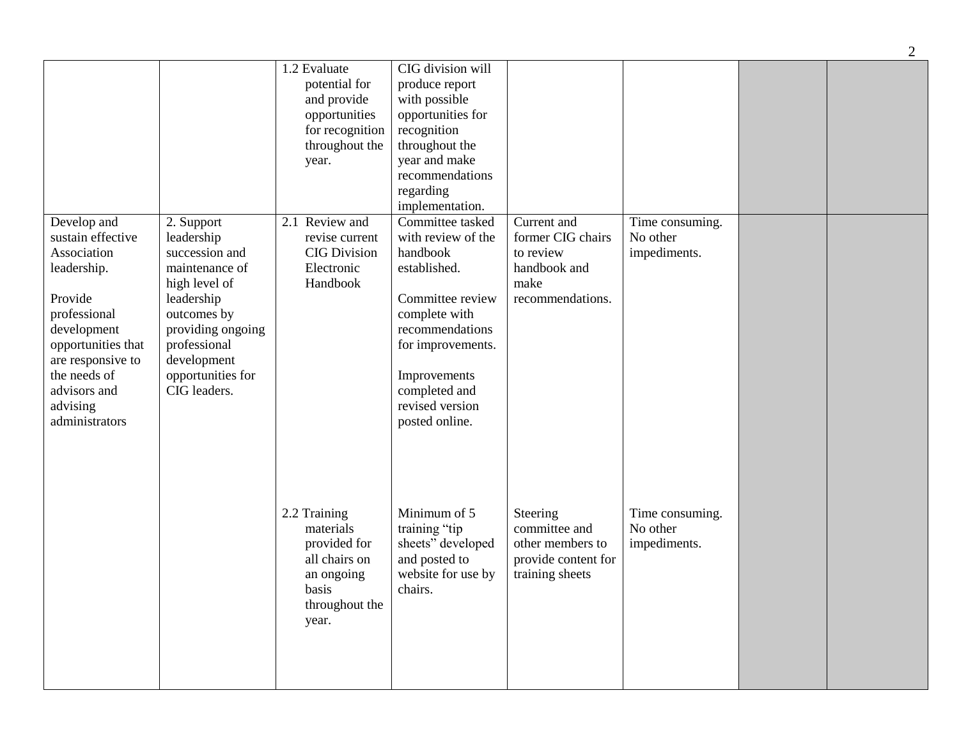|                                                                                                                                                                                                                   |                                                                                                                                                                                                     | 1.2 Evaluate<br>potential for<br>and provide<br>opportunities<br>for recognition<br>throughout the<br>year.  | CIG division will<br>produce report<br>with possible<br>opportunities for<br>recognition<br>throughout the<br>year and make<br>recommendations<br>regarding<br>implementation.                                        |                                                                                           |                                             |  |
|-------------------------------------------------------------------------------------------------------------------------------------------------------------------------------------------------------------------|-----------------------------------------------------------------------------------------------------------------------------------------------------------------------------------------------------|--------------------------------------------------------------------------------------------------------------|-----------------------------------------------------------------------------------------------------------------------------------------------------------------------------------------------------------------------|-------------------------------------------------------------------------------------------|---------------------------------------------|--|
| Develop and<br>sustain effective<br>Association<br>leadership.<br>Provide<br>professional<br>development<br>opportunities that<br>are responsive to<br>the needs of<br>advisors and<br>advising<br>administrators | 2. Support<br>leadership<br>succession and<br>maintenance of<br>high level of<br>leadership<br>outcomes by<br>providing ongoing<br>professional<br>development<br>opportunities for<br>CIG leaders. | 2.1 Review and<br>revise current<br><b>CIG Division</b><br>Electronic<br>Handbook                            | Committee tasked<br>with review of the<br>handbook<br>established.<br>Committee review<br>complete with<br>recommendations<br>for improvements.<br>Improvements<br>completed and<br>revised version<br>posted online. | Current and<br>former CIG chairs<br>to review<br>handbook and<br>make<br>recommendations. | Time consuming.<br>No other<br>impediments. |  |
|                                                                                                                                                                                                                   |                                                                                                                                                                                                     | 2.2 Training<br>materials<br>provided for<br>all chairs on<br>an ongoing<br>basis<br>throughout the<br>year. | Minimum of 5<br>training "tip<br>sheets" developed<br>and posted to<br>website for use by<br>chairs.                                                                                                                  | Steering<br>committee and<br>other members to<br>provide content for<br>training sheets   | Time consuming.<br>No other<br>impediments. |  |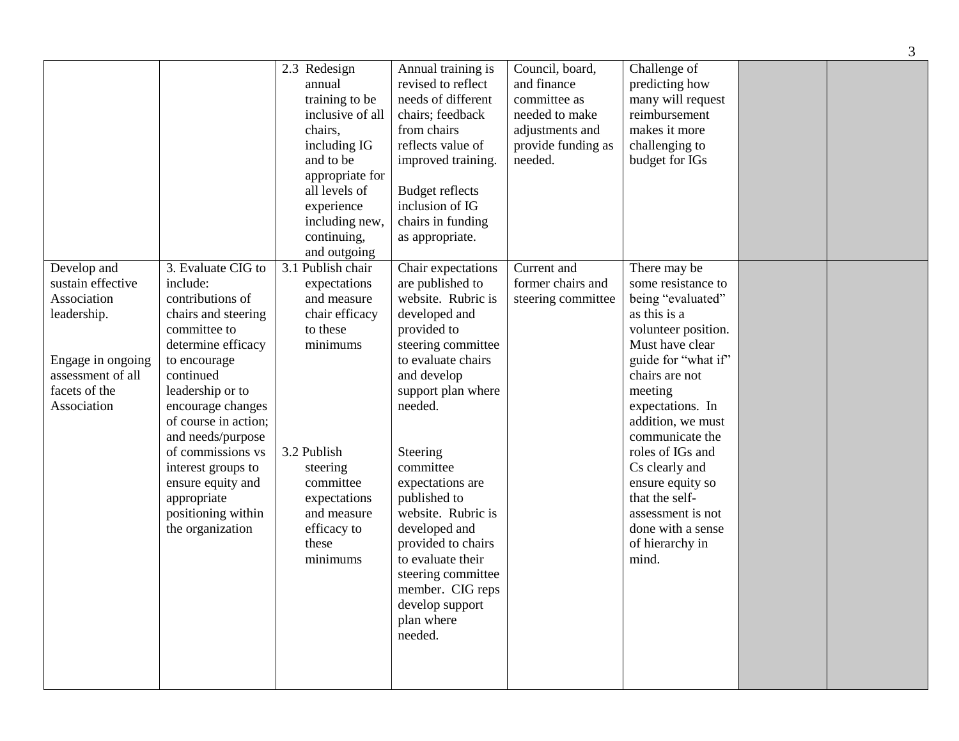|                                                                                                                                          |                                                                                                                                                                                                                                                                                                                                                             |                                                                                                                                                                                                         |                                                                                                                                                                                                                                                                                                                                                                                                                               |                                                                                                                      |                                                                                                                                                                                                                                                                                                                                                                                     | $\mathfrak{Z}$ |
|------------------------------------------------------------------------------------------------------------------------------------------|-------------------------------------------------------------------------------------------------------------------------------------------------------------------------------------------------------------------------------------------------------------------------------------------------------------------------------------------------------------|---------------------------------------------------------------------------------------------------------------------------------------------------------------------------------------------------------|-------------------------------------------------------------------------------------------------------------------------------------------------------------------------------------------------------------------------------------------------------------------------------------------------------------------------------------------------------------------------------------------------------------------------------|----------------------------------------------------------------------------------------------------------------------|-------------------------------------------------------------------------------------------------------------------------------------------------------------------------------------------------------------------------------------------------------------------------------------------------------------------------------------------------------------------------------------|----------------|
|                                                                                                                                          |                                                                                                                                                                                                                                                                                                                                                             | 2.3 Redesign<br>annual<br>training to be<br>inclusive of all<br>chairs,<br>including IG<br>and to be<br>appropriate for<br>all levels of<br>experience<br>including new,<br>continuing,<br>and outgoing | Annual training is<br>revised to reflect<br>needs of different<br>chairs; feedback<br>from chairs<br>reflects value of<br>improved training.<br><b>Budget reflects</b><br>inclusion of IG<br>chairs in funding<br>as appropriate.                                                                                                                                                                                             | Council, board,<br>and finance<br>committee as<br>needed to make<br>adjustments and<br>provide funding as<br>needed. | Challenge of<br>predicting how<br>many will request<br>reimbursement<br>makes it more<br>challenging to<br>budget for IGs                                                                                                                                                                                                                                                           |                |
| Develop and<br>sustain effective<br>Association<br>leadership.<br>Engage in ongoing<br>assessment of all<br>facets of the<br>Association | 3. Evaluate CIG to<br>include:<br>contributions of<br>chairs and steering<br>committee to<br>determine efficacy<br>to encourage<br>continued<br>leadership or to<br>encourage changes<br>of course in action;<br>and needs/purpose<br>of commissions vs<br>interest groups to<br>ensure equity and<br>appropriate<br>positioning within<br>the organization | 3.1 Publish chair<br>expectations<br>and measure<br>chair efficacy<br>to these<br>minimums<br>3.2 Publish<br>steering<br>committee<br>expectations<br>and measure<br>efficacy to<br>these<br>minimums   | Chair expectations<br>are published to<br>website. Rubric is<br>developed and<br>provided to<br>steering committee<br>to evaluate chairs<br>and develop<br>support plan where<br>needed.<br>Steering<br>committee<br>expectations are<br>published to<br>website. Rubric is<br>developed and<br>provided to chairs<br>to evaluate their<br>steering committee<br>member. CIG reps<br>develop support<br>plan where<br>needed. | Current and<br>former chairs and<br>steering committee                                                               | There may be<br>some resistance to<br>being "evaluated"<br>as this is a<br>volunteer position.<br>Must have clear<br>guide for "what if"<br>chairs are not<br>meeting<br>expectations. In<br>addition, we must<br>communicate the<br>roles of IGs and<br>Cs clearly and<br>ensure equity so<br>that the self-<br>assessment is not<br>done with a sense<br>of hierarchy in<br>mind. |                |